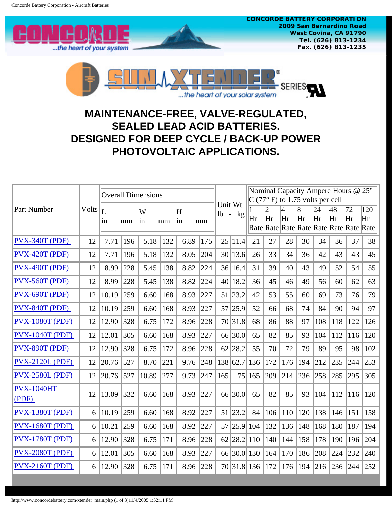

...the heart of your solar system

## **MAINTENANCE-FREE, VALVE-REGULATED, SEALED LEAD ACID BATTERIES. DESIGNED FOR DEEP CYCLE / BACK-UP POWER PHOTOVOLTAIC APPLICATIONS.**

| Part Number                |       | <b>Overall Dimensions</b> |     |         |     |         |     |         |             | Nominal Capacity Ampere Hours @ 25°<br>$C$ (77° F) to 1.75 volts per cell |     |                      |                      |                                                     |          |          |           |
|----------------------------|-------|---------------------------|-----|---------|-----|---------|-----|---------|-------------|---------------------------------------------------------------------------|-----|----------------------|----------------------|-----------------------------------------------------|----------|----------|-----------|
|                            | Volts | 1n                        | mm  | W<br>in | mm  | H<br>in | mm  | Unit Wt | $1b - kg$   | Hr                                                                        | Hr  | $\overline{A}$<br>Hr | $\overline{8}$<br>Hr | 24<br>Hr<br>Rate Rate Rate Rate Rate Rate Rate Rate | 48<br>Hr | 72<br>Hr | 120<br>Hr |
| $Pvx-340T(PDF)$            | 12    | 7.71                      | 196 | 5.18    | 132 | 6.89    | 175 | 25      | 11.4        | 21                                                                        | 27  | 28                   | 30                   | 34                                                  | 36       | 37       | 38        |
| $Pvx-420T(PDF)$            | 12    | 7.71                      | 196 | 5.18    | 132 | 8.05    | 204 |         | 30 13.6     | 26                                                                        | 33  | 34                   | 36                   | 42                                                  | 43       | 43       | 45        |
| $Pvx-490T(PDF)$            | 12    | 8.99                      | 228 | 5.45    | 138 | 8.82    | 224 |         | 36 16.4     | 31                                                                        | 39  | 40                   | 43                   | 49                                                  | 52       | 54       | 55        |
| $Pvx-560T(PDF)$            | 12    | 8.99                      | 228 | 5.45    | 138 | 8.82    | 224 |         | 40 18.2     | 36                                                                        | 45  | 46                   | 49                   | 56                                                  | 60       | 62       | 63        |
| $Pvx-690T(PDF)$            | 12    | 10.19                     | 259 | 6.60    | 168 | 8.93    | 227 |         | 51 23.2     | 42                                                                        | 53  | 55                   | 60                   | 69                                                  | 73       | 76       | 79        |
| PVX-840T (PDF)             | 12    | 10.19                     | 259 | 6.60    | 168 | 8.93    | 227 |         | 57 25.9     | 52                                                                        | 66  | 68                   | 74                   | 84                                                  | 90       | 94       | 97        |
| <b>PVX-1080T (PDF)</b>     | 12    | 12.90                     | 328 | 6.75    | 172 | 8.96    | 228 |         | 70 31.8     | 68                                                                        | 86  | 88                   | 97                   | 108                                                 | 118      | 122      | 126       |
| <b>PVX-1040T (PDF)</b>     | 12    | 12.01                     | 305 | 6.60    | 168 | 8.93    | 227 |         | 66 30.0     | 65                                                                        | 82  | 85                   | 93                   | 104                                                 | 112      | 116      | 120       |
| PVX-890T (PDF)             | 12    | 12.90                     | 328 | 6.75    | 172 | 8.96    | 228 |         | 62 28.2     | 55                                                                        | 70  | 72                   | 79                   | 89                                                  | 95       | 98       | 102       |
| <b>PVX-2120L (PDF)</b>     | 12    | 20.76                     | 527 | 8.70    | 221 | 9.76    | 248 |         | 138 62.7    | 136                                                                       | 172 | 176                  | 194                  | 212                                                 | 235      | 244      | 253       |
| <b>PVX-2580L (PDF)</b>     | 12    | 20.76                     | 527 | 10.89   | 277 | 9.73    | 247 | 165     | 75          | 165                                                                       | 209 | 214                  | 236                  | 258                                                 | 285      | 295      | 305       |
| <b>PVX-1040HT</b><br>(PDF) | 12    | 13.09                     | 332 | 6.60    | 168 | 8.93    | 227 |         | 66 30.0     | 65                                                                        | 82  | 85                   | 93                   | 104                                                 | 112      | 116      | 120       |
| <b>PVX-1380T (PDF)</b>     | 6     | 10.19                     | 259 | 6.60    | 168 | 8.92    | 227 |         | 51 23.2     | 84                                                                        | 106 | 110                  | 120                  | 138                                                 | 146      | 151      | 158       |
| <b>PVX-1680T (PDF)</b>     | 6     | 10.21                     | 259 | 6.60    | 168 | 8.92    | 227 | 57      | 25.9        | 104                                                                       | 132 | 136                  | 148                  | 168                                                 | 180      | 187      | 194       |
| <b>PVX-1780T (PDF)</b>     | 6     | 12.90                     | 328 | 6.75    | 171 | 8.96    | 228 | 62      | 28.2        | $ 110\rangle$                                                             | 140 | 144                  | 158                  | 178                                                 | 190      | 196      | 204       |
| <b>PVX-2080T (PDF)</b>     | 6     | 12.01                     | 305 | 6.60    | 168 | 8.93    | 227 |         | 66 30.0     | 130                                                                       | 164 | 170                  | 186                  | 208                                                 | 224      | 232      | 240       |
| $Pvx-2160T(PDF)$           | 6     | 12.90                     | 328 | 6.75    | 171 | 8.96    | 228 |         | 70 31.8 136 |                                                                           | 172 | 176                  | 194                  | 216                                                 | 236      | 244      | 252       |